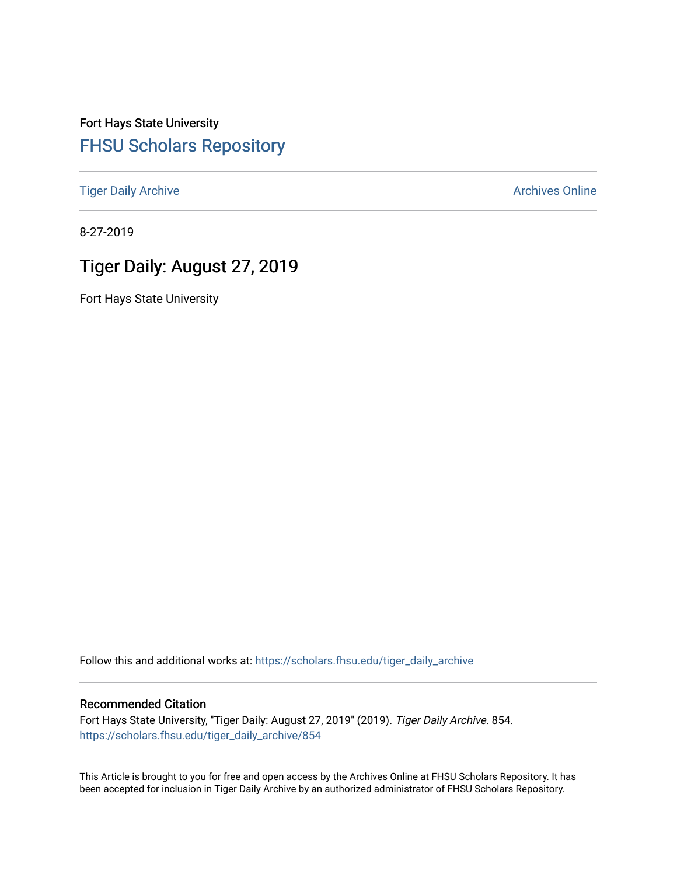Fort Hays State University [FHSU Scholars Repository](https://scholars.fhsu.edu/) 

[Tiger Daily Archive](https://scholars.fhsu.edu/tiger_daily_archive) **Archives** Online Archives Online

8-27-2019

# Tiger Daily: August 27, 2019

Fort Hays State University

Follow this and additional works at: [https://scholars.fhsu.edu/tiger\\_daily\\_archive](https://scholars.fhsu.edu/tiger_daily_archive?utm_source=scholars.fhsu.edu%2Ftiger_daily_archive%2F854&utm_medium=PDF&utm_campaign=PDFCoverPages)

#### Recommended Citation

Fort Hays State University, "Tiger Daily: August 27, 2019" (2019). Tiger Daily Archive. 854. [https://scholars.fhsu.edu/tiger\\_daily\\_archive/854](https://scholars.fhsu.edu/tiger_daily_archive/854?utm_source=scholars.fhsu.edu%2Ftiger_daily_archive%2F854&utm_medium=PDF&utm_campaign=PDFCoverPages)

This Article is brought to you for free and open access by the Archives Online at FHSU Scholars Repository. It has been accepted for inclusion in Tiger Daily Archive by an authorized administrator of FHSU Scholars Repository.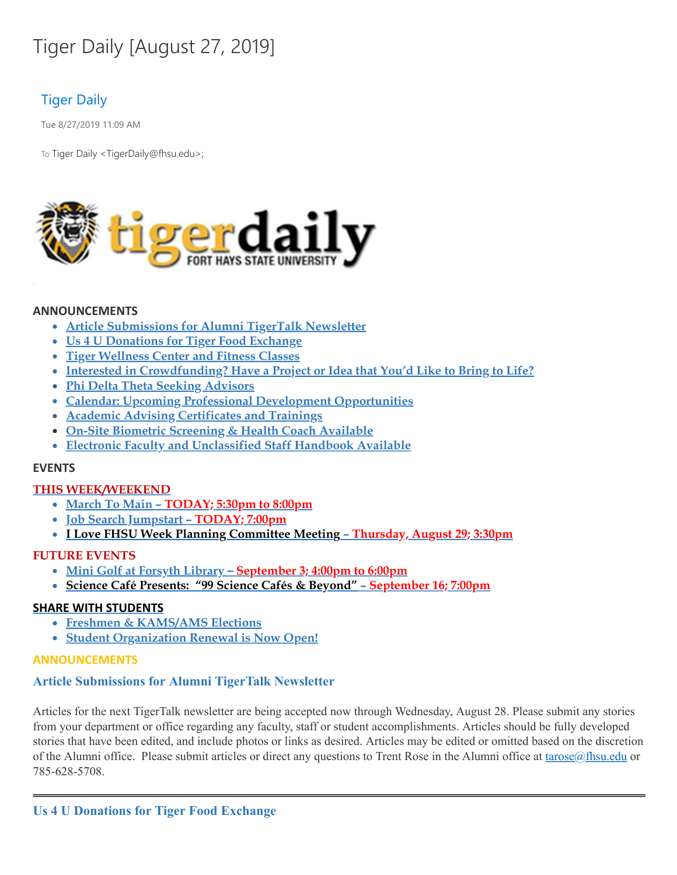# Tiger Daily [August 27, 2019]

# Tiger Daily

Tue 8/27/2019 11:09 AM

To: Tiger Daily < TigerDaily@fhsu.edu>;



#### **ANNOUNCEMENTS**

- **Article Submissions for Alumni TigerTalk Newsletter**
- **Us 4 U Donations for Tiger Food Exchange**
- **Tiger Wellness Center and Fitness Classes**
- **Interested in Crowdfunding? Have a Project or Idea that You'd Like to Bring to Life?**
- **Phi Delta Theta Seeking Advisors**
- **Calendar: Upcoming Professional Development Opportunities**
- **Academic Advising Certificates and Trainings**
- **On-Site Biometric Screening & Health Coach Available**
- **Electronic Faculty and Unclassified Staff Handbook Available**

# **EVENTS**

# **THIS WEEK/WEEKEND**

- **March To Main – TODAY; 5:30pm to 8:00pm**
- **Job Search Jumpstart – TODAY; 7:00pm**
- **I Love FHSU Week Planning Committee Meeting – Thursday, August 29; 3:30pm**

# **FUTURE EVENTS**

- **Mini Golf at Forsyth Library – September 3; 4:00pm to 6:00pm**
- **Science Café Presents: "99 Science Cafés & Beyond" – September 16; 7:00pm**

# **SHARE WITH STUDENTS**

- **Freshmen & KAMS/AMS Elections**
- **Student Organization Renewal is Now Open!**

# **ANNOUNCEMENTS**

# **Article Submissions for Alumni TigerTalk Newsletter**

Articles for the next TigerTalk newsletter are being accepted now through Wednesday, August 28. Please submit any stories from your department or office regarding any faculty, staff or student accomplishments. Articles should be fully developed stories that have been edited, and include photos or links as desired. Articles may be edited or omitted based on the discretion of the Alumni office. Please submit articles or direct any questions to Trent Rose in the Alumni office at [tarose@fhsu.edu](mailto:tarose@fhsu.edu) or 785-628-5708.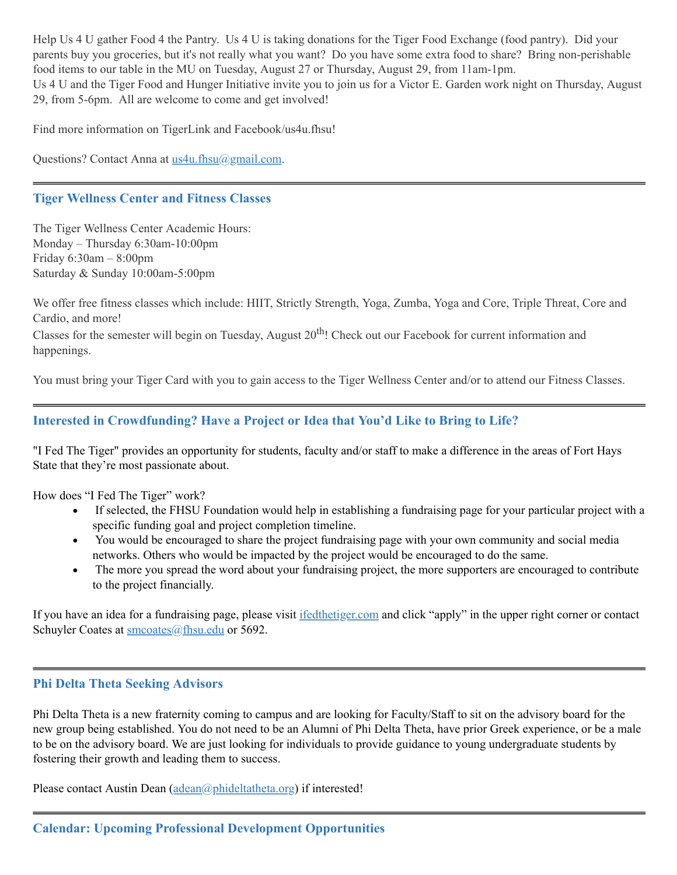Help Us 4 U gather Food 4 the Pantry. Us 4 U is taking donations for the Tiger Food Exchange (food pantry). Did your parents buy you groceries, but it's not really what you want? Do you have some extra food to share? Bring non-perishable food items to our table in the MU on Tuesday, August 27 or Thursday, August 29, from 11am-1pm. Us 4 U and the Tiger Food and Hunger Initiative invite you to join us for a Victor E. Garden work night on Thursday, August 29, from 5-6pm. All are welcome to come and get involved!

Find more information on TigerLink and Facebook/us4u.fhsu!

Questions? Contact Anna at [us4u.fhsu@gmail.com.](mailto:us4u.fhsu@gmail.com)

# **Tiger Wellness Center and Fitness Classes**

The Tiger Wellness Center Academic Hours: Monday – Thursday 6:30am-10:00pm Friday 6:30am – 8:00pm Saturday & Sunday 10:00am-5:00pm

We offer free fitness classes which include: HIIT, Strictly Strength, Yoga, Zumba, Yoga and Core, Triple Threat, Core and Cardio, and more!

Classes for the semester will begin on Tuesday, August 20<sup>th</sup>! Check out our Facebook for current information and happenings.

You must bring your Tiger Card with you to gain access to the Tiger Wellness Center and/or to attend our Fitness Classes.

# **Interested in Crowdfunding? Have a Project or Idea that You'd Like to Bring to Life?**

"I Fed The Tiger" provides an opportunity for students, faculty and/or staff to make a difference in the areas of Fort Hays State that they're most passionate about.

How does "I Fed The Tiger" work?

- · If selected, the FHSU Foundation would help in establishing a fundraising page for your particular project with a specific funding goal and project completion timeline.
- · You would be encouraged to share the project fundraising page with your own community and social media networks. Others who would be impacted by the project would be encouraged to do the same.
- · The more you spread the word about your fundraising project, the more supporters are encouraged to contribute to the project financially.

If you have an idea for a fundraising page, please visit [ifedthetiger.com](https://ifedthetiger.blackbaud-sites.com/) and click "apply" in the upper right corner or contact Schuyler Coates at **smcoates**@fhsu.edu or 5692.

# **Phi Delta Theta Seeking Advisors**

Phi Delta Theta is a new fraternity coming to campus and are looking for Faculty/Staff to sit on the advisory board for the new group being established. You do not need to be an Alumni of Phi Delta Theta, have prior Greek experience, or be a male to be on the advisory board. We are just looking for individuals to provide guidance to young undergraduate students by fostering their growth and leading them to success.

Please contact Austin Dean [\(adean@phideltatheta.org\)](mailto:adean@phideltatheta.org) if interested!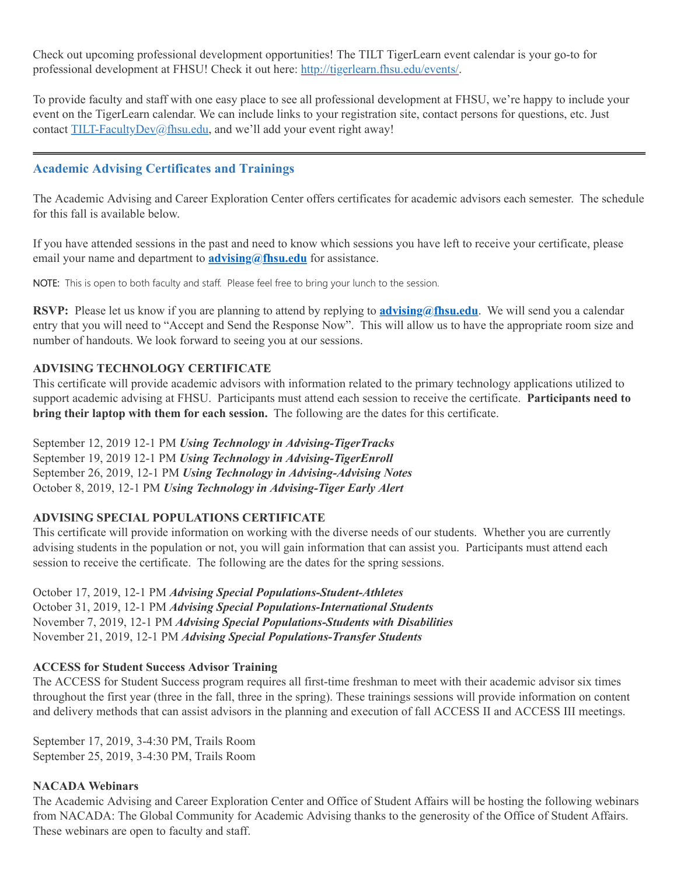Check out upcoming professional development opportunities! The TILT TigerLearn event calendar is your go-to for professional development at FHSU! Check it out here: <http://tigerlearn.fhsu.edu/events/>.

To provide faculty and staff with one easy place to see all professional development at FHSU, we're happy to include your event on the TigerLearn calendar. We can include links to your registration site, contact persons for questions, etc. Just contact [TILT-FacultyDev@fhsu.edu,](mailto:TILT-FacultyDev@fhsu.edu) and we'll add your event right away!

# **Academic Advising Certificates and Trainings**

The Academic Advising and Career Exploration Center offers certificates for academic advisors each semester. The schedule for this fall is available below.

If you have attended sessions in the past and need to know which sessions you have left to receive your certificate, please email your name and department to **[advising@fhsu.edu](mailto:advising@fhsu.edu)** for assistance.

NOTE: This is open to both faculty and staff. Please feel free to bring your lunch to the session.

**RSVP:** Please let us know if you are planning to attend by replying to **[advising@fhsu.edu](mailto:advising@fhsu.edu)**. We will send you a calendar entry that you will need to "Accept and Send the Response Now" . This will allow us to have the appropriate room size and number of handouts. We look forward to seeing you at our sessions.

# **ADVISING TECHNOLOGY CERTIFICATE**

This certificate will provide academic advisors with information related to the primary technology applications utilized to support academic advising at FHSU. Participants must attend each session to receive the certificate. **Participants need to bring their laptop with them for each session.** The following are the dates for this certificate.

September 12, 2019 12-1 PM *Using Technology in Advising-TigerTracks* September 19, 2019 12-1 PM *Using Technology in Advising-TigerEnroll* September 26, 2019, 12-1 PM *Using Technology in Advising-Advising Notes* October 8, 2019, 12-1 PM *Using Technology in Advising-Tiger Early Alert*

# **ADVISING SPECIAL POPULATIONS CERTIFICATE**

This certificate will provide information on working with the diverse needs of our students. Whether you are currently advising students in the population or not, you will gain information that can assist you. Participants must attend each session to receive the certificate. The following are the dates for the spring sessions.

October 17, 2019, 12-1 PM *Advising Special Populations-Student-Athletes* October 31, 2019, 12-1 PM *Advising Special Populations-International Students* November 7, 2019, 12-1 PM *Advising Special Populations-Students with Disabilities* November 21, 2019, 12-1 PM *Advising Special Populations-Transfer Students*

# **ACCESS for Student Success Advisor Training**

The ACCESS for Student Success program requires all first-time freshman to meet with their academic advisor six times throughout the first year (three in the fall, three in the spring). These trainings sessions will provide information on content and delivery methods that can assist advisors in the planning and execution of fall ACCESS II and ACCESS III meetings.

September 17, 2019, 3-4:30 PM, Trails Room September 25, 2019, 3-4:30 PM, Trails Room

# **NACADA Webinars**

The Academic Advising and Career Exploration Center and Office of Student Affairs will be hosting the following webinars from NACADA: The Global Community for Academic Advising thanks to the generosity of the Office of Student Affairs. These webinars are open to faculty and staff.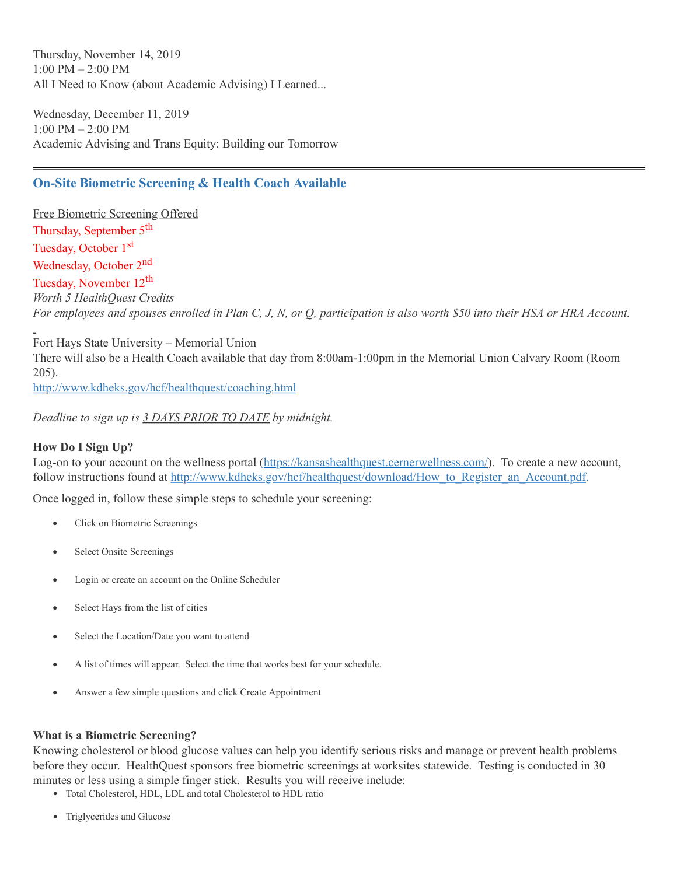Thursday, November 14, 2019 1:00 PM – 2:00 PM All I Need to Know (about Academic Advising) I Learned...

Wednesday, December 11, 2019 1:00 PM – 2:00 PM Academic Advising and Trans Equity: Building our Tomorrow

# **On-Site Biometric Screening & Health Coach Available**

Free Biometric Screening Offered Thursday, September 5<sup>th</sup> Tuesday, October 1<sup>st</sup> Wednesday, October 2<sup>nd</sup> Tuesday, November 12<sup>th</sup> *Worth 5 HealthQuest Credits* For employees and spouses enrolled in Plan C, J, N, or Q, participation is also worth \$50 into their HSA or HRA Account.

Fort Hays State University – Memorial Union There will also be a Health Coach available that day from 8:00am-1:00pm in the Memorial Union Calvary Room (Room 205). <http://www.kdheks.gov/hcf/healthquest/coaching.html>

*Deadline to sign up is 3 DAYS PRIOR TO DATE by midnight.*

# **How Do I Sign Up?**

Log-on to your account on the wellness portal [\(https://kansashealthquest.cernerwellness.com/\)](https://kansashealthquest.cernerwellness.com/). To create a new account, follow instructions found at [http://www.kdheks.gov/hcf/healthquest/download/How\\_to\\_Register\\_an\\_Account.pdf](http://www.kdheks.gov/hcf/healthquest/download/How_to_Register_an_Account.pdf).

Once logged in, follow these simple steps to schedule your screening:

- Click on Biometric Screenings
- Select Onsite Screenings
- Login or create an account on the Online Scheduler
- Select Hays from the list of cities
- Select the Location/Date you want to attend
- A list of times will appear. Select the time that works best for your schedule.
- Answer a few simple questions and click Create Appointment

#### **What is a Biometric Screening?**

Knowing cholesterol or blood glucose values can help you identify serious risks and manage or prevent health problems before they occur. HealthQuest sponsors free biometric screenings at worksites statewide. Testing is conducted in 30 minutes or less using a simple finger stick. Results you will receive include:

- Total Cholesterol, HDL, LDL and total Cholesterol to HDL ratio
- Triglycerides and Glucose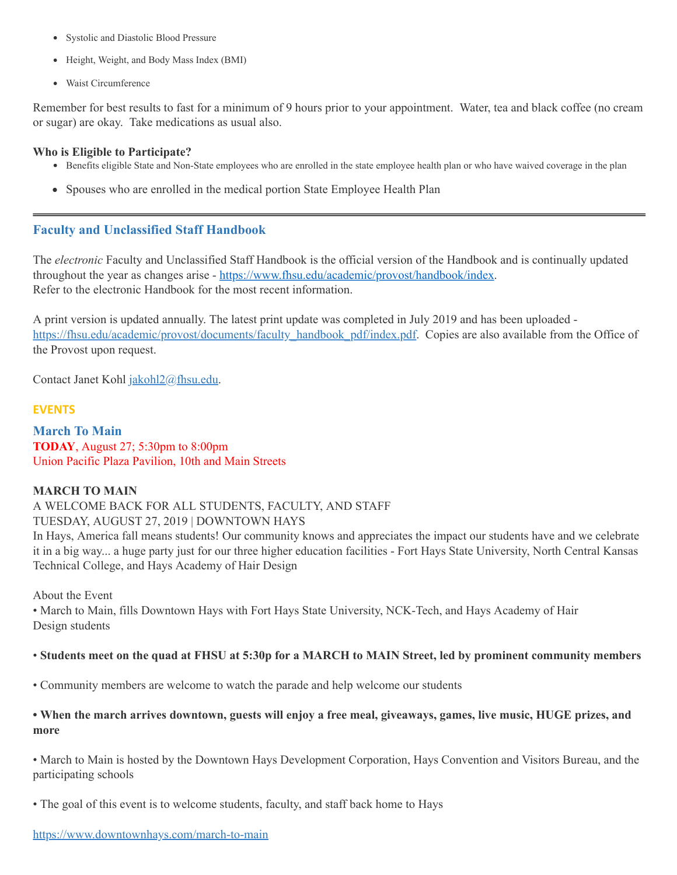- Systolic and Diastolic Blood Pressure
- Height, Weight, and Body Mass Index (BMI)
- Waist Circumference

Remember for best results to fast for a minimum of 9 hours prior to your appointment. Water, tea and black coffee (no cream or sugar) are okay. Take medications as usual also.

#### **Who is Eligible to Participate?**

- Benefits eligible State and Non-State employees who are enrolled in the state employee health plan or who have waived coverage in the plan
- Spouses who are enrolled in the medical portion State Employee Health Plan

# **Faculty and Unclassified Staff Handbook**

The *electronic* Faculty and Unclassified Staff Handbook is the official version of the Handbook and is continually updated throughout the year as changes arise - <https://www.fhsu.edu/academic/provost/handbook/index>. Refer to the electronic Handbook for the most recent information.

A print version is updated annually. The latest print update was completed in July 2019 and has been uploaded [https://fhsu.edu/academic/provost/documents/faculty\\_handbook\\_pdf/index.pdf.](https://fhsu.edu/academic/provost/documents/faculty_handbook_pdf/index.pdf) Copies are also available from the Office of the Provost upon request.

Contact Janet Kohl [jakohl2@fhsu.edu.](mailto:jakohl2@fhsu.edu)

#### **EVENTS**

**March To Main TODAY**, August 27; 5:30pm to 8:00pm Union Pacific Plaza Pavilion, 10th and Main Streets

# **MARCH TO MAIN**

A WELCOME BACK FOR ALL STUDENTS, FACULTY, AND STAFF TUESDAY, AUGUST 27, 2019 | DOWNTOWN HAYS

In Hays, America fall means students! Our community knows and appreciates the impact our students have and we celebrate it in a big way... a huge party just for our three higher education facilities - Fort Hays State University, North Central Kansas Technical College, and Hays Academy of Hair Design

About the Event

• March to Main, fills Downtown Hays with Fort Hays State University, NCK-Tech, and Hays Academy of Hair Design students

# • Students meet on the quad at FHSU at 5:30p for a MARCH to MAIN Street, led by prominent community members

• Community members are welcome to watch the parade and help welcome our students

# • When the march arrives downtown, guests will enjoy a free meal, giveaways, games, live music, HUGE prizes, and **more**

• March to Main is hosted by the Downtown Hays Development Corporation, Hays Convention and Visitors Bureau, and the participating schools

• The goal of this event is to welcome students, faculty, and staff back home to Hays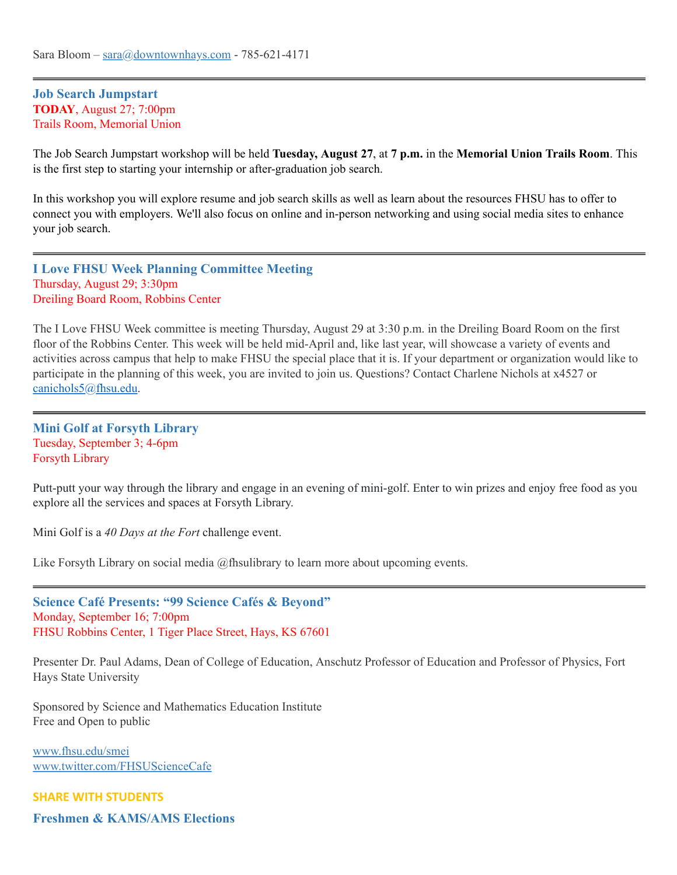#### **Job Search Jumpstart TODAY**, August 27; 7:00pm Trails Room, Memorial Union

The Job Search Jumpstart workshop will be held **Tuesday, August 27**, at **7 p.m.** in the **Memorial Union Trails Room**. This is the first step to starting your internship or after-graduation job search.

In this workshop you will explore resume and job search skills as well as learn about the resources FHSU has to offer to connect you with employers. We'll also focus on online and in-person networking and using social media sites to enhance your job search.

**I Love FHSU Week Planning Committee Meeting** Thursday, August 29; 3:30pm Dreiling Board Room, Robbins Center

The I Love FHSU Week committee is meeting Thursday, August 29 at 3:30 p.m. in the Dreiling Board Room on the first floor of the Robbins Center. This week will be held mid-April and, like last year, will showcase a variety of events and activities across campus that help to make FHSU the special place that it is. If your department or organization would like to participate in the planning of this week, you are invited to join us. Questions? Contact Charlene Nichols at x4527 or [canichols5@fhsu.edu](mailto:canichols5@fhsu.edu).

**Mini Golf at Forsyth Library** Tuesday, September 3; 4-6pm Forsyth Library

Putt-putt your way through the library and engage in an evening of mini-golf. Enter to win prizes and enjoy free food as you explore all the services and spaces at Forsyth Library.

Mini Golf is a *40 Days at the Fort* challenge event.

Like Forsyth Library on social media @fhsulibrary to learn more about upcoming events.

**Science Café Presents: "99 Science Cafés & Beyond"** Monday, September 16; 7:00pm FHSU Robbins Center, 1 Tiger Place Street, Hays, KS 67601

Presenter Dr. Paul Adams, Dean of College of Education, Anschutz Professor of Education and Professor of Physics, Fort Hays State University

Sponsored by Science and Mathematics Education Institute Free and Open to public

[www.fhsu.edu/smei](http://www.fhsu.edu/smei) [www.twitter.com/FHSUScienceCafe](http://www.twitter.com/FHSUScienceCafe)

**SHARE WITH STUDENTS Freshmen & KAMS/AMS Elections**